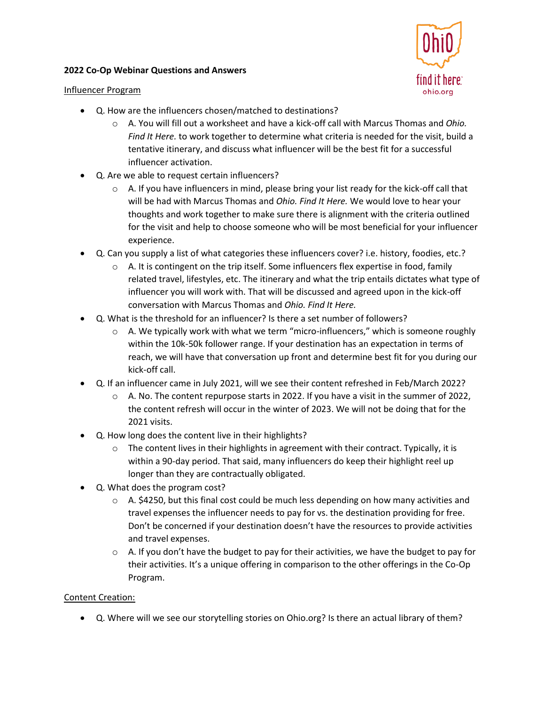#### **2022 Co-Op Webinar Questions and Answers**





- Q. How are the influencers chosen/matched to destinations?
	- o A. You will fill out a worksheet and have a kick-off call with Marcus Thomas and *Ohio. Find It Here.* to work together to determine what criteria is needed for the visit, build a tentative itinerary, and discuss what influencer will be the best fit for a successful influencer activation.
- Q. Are we able to request certain influencers?
	- $\circ$  A. If you have influencers in mind, please bring your list ready for the kick-off call that will be had with Marcus Thomas and *Ohio. Find It Here.* We would love to hear your thoughts and work together to make sure there is alignment with the criteria outlined for the visit and help to choose someone who will be most beneficial for your influencer experience.
- Q. Can you supply a list of what categories these influencers cover? i.e. history, foodies, etc.?
	- $\circ$  A. It is contingent on the trip itself. Some influencers flex expertise in food, family related travel, lifestyles, etc. The itinerary and what the trip entails dictates what type of influencer you will work with. That will be discussed and agreed upon in the kick-off conversation with Marcus Thomas and *Ohio. Find It Here.*
- Q. What is the threshold for an influencer? Is there a set number of followers?
	- $\circ$  A. We typically work with what we term "micro-influencers," which is someone roughly within the 10k-50k follower range. If your destination has an expectation in terms of reach, we will have that conversation up front and determine best fit for you during our kick-off call.
- Q. If an influencer came in July 2021, will we see their content refreshed in Feb/March 2022?
	- o A. No. The content repurpose starts in 2022. If you have a visit in the summer of 2022, the content refresh will occur in the winter of 2023. We will not be doing that for the 2021 visits.
- Q. How long does the content live in their highlights?
	- $\circ$  The content lives in their highlights in agreement with their contract. Typically, it is within a 90-day period. That said, many influencers do keep their highlight reel up longer than they are contractually obligated.
- Q. What does the program cost?
	- $\circ$  A. \$4250, but this final cost could be much less depending on how many activities and travel expenses the influencer needs to pay for vs. the destination providing for free. Don't be concerned if your destination doesn't have the resources to provide activities and travel expenses.
	- $\circ$  A. If you don't have the budget to pay for their activities, we have the budget to pay for their activities. It's a unique offering in comparison to the other offerings in the Co-Op Program.

# Content Creation:

• Q. Where will we see our storytelling stories on Ohio.org? Is there an actual library of them?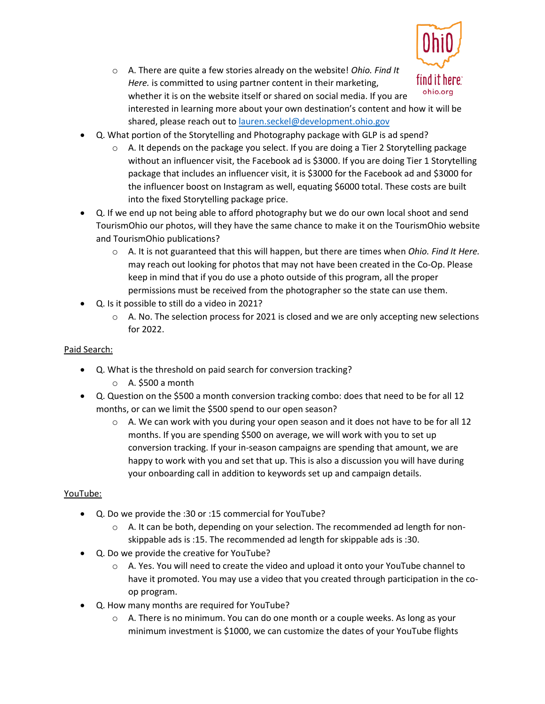

o A. There are quite a few stories already on the website! *Ohio. Find It Here.* is committed to using partner content in their marketing, whether it is on the website itself or shared on social media. If you are interested in learning more about your own destination's content and how it will be shared, please reach out to [lauren.seckel@development.ohio.gov](mailto:lauren.seckel@development.ohio.gov)

- Q. What portion of the Storytelling and Photography package with GLP is ad spend?
	- $\circ$  A. It depends on the package you select. If you are doing a Tier 2 Storytelling package without an influencer visit, the Facebook ad is \$3000. If you are doing Tier 1 Storytelling package that includes an influencer visit, it is \$3000 for the Facebook ad and \$3000 for the influencer boost on Instagram as well, equating \$6000 total. These costs are built into the fixed Storytelling package price.
- Q. If we end up not being able to afford photography but we do our own local shoot and send TourismOhio our photos, will they have the same chance to make it on the TourismOhio website and TourismOhio publications?
	- o A. It is not guaranteed that this will happen, but there are times when *Ohio. Find It Here.* may reach out looking for photos that may not have been created in the Co-Op. Please keep in mind that if you do use a photo outside of this program, all the proper permissions must be received from the photographer so the state can use them.
- Q. Is it possible to still do a video in 2021?
	- $\circ$  A. No. The selection process for 2021 is closed and we are only accepting new selections for 2022.

# Paid Search:

- Q. What is the threshold on paid search for conversion tracking?
	- $\circ$  A. \$500 a month
- Q. Question on the \$500 a month conversion tracking combo: does that need to be for all 12 months, or can we limit the \$500 spend to our open season?
	- $\circ$  A. We can work with you during your open season and it does not have to be for all 12 months. If you are spending \$500 on average, we will work with you to set up conversion tracking. If your in-season campaigns are spending that amount, we are happy to work with you and set that up. This is also a discussion you will have during your onboarding call in addition to keywords set up and campaign details.

# YouTube:

- Q. Do we provide the :30 or :15 commercial for YouTube?
	- $\circ$  A. It can be both, depending on your selection. The recommended ad length for nonskippable ads is :15. The recommended ad length for skippable ads is :30.
- Q. Do we provide the creative for YouTube?
	- o A. Yes. You will need to create the video and upload it onto your YouTube channel to have it promoted. You may use a video that you created through participation in the coop program.
- Q. How many months are required for YouTube?
	- $\circ$  A. There is no minimum. You can do one month or a couple weeks. As long as your minimum investment is \$1000, we can customize the dates of your YouTube flights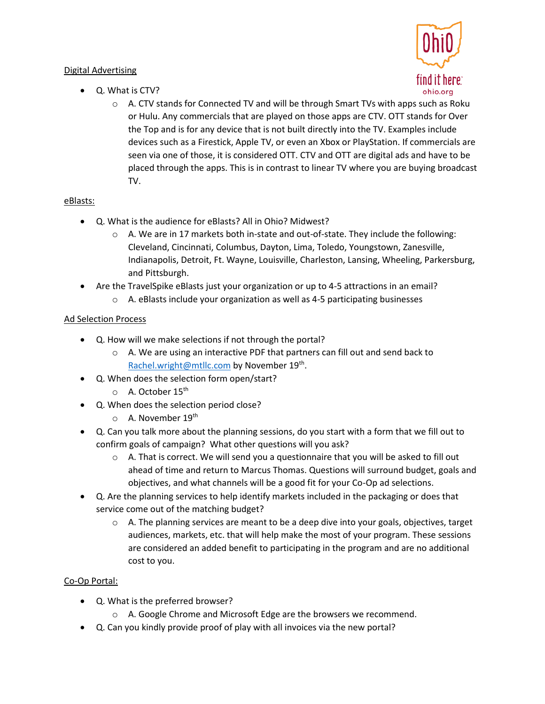# Digital Advertising



- Q. What is CTV?
	- $\circ$  A. CTV stands for Connected TV and will be through Smart TVs with apps such as Roku or Hulu. Any commercials that are played on those apps are CTV. OTT stands for Over the Top and is for any device that is not built directly into the TV. Examples include devices such as a Firestick, Apple TV, or even an Xbox or PlayStation. If commercials are seen via one of those, it is considered OTT. CTV and OTT are digital ads and have to be placed through the apps. This is in contrast to linear TV where you are buying broadcast TV.

# eBlasts:

- Q. What is the audience for eBlasts? All in Ohio? Midwest?
	- $\circ$  A. We are in 17 markets both in-state and out-of-state. They include the following: Cleveland, Cincinnati, Columbus, Dayton, Lima, Toledo, Youngstown, Zanesville, Indianapolis, Detroit, Ft. Wayne, Louisville, Charleston, Lansing, Wheeling, Parkersburg, and Pittsburgh.
- Are the TravelSpike eBlasts just your organization or up to 4-5 attractions in an email?
	- $\circ$  A. eBlasts include your organization as well as 4-5 participating businesses

# Ad Selection Process

- Q. How will we make selections if not through the portal?
	- $\circ$  A. We are using an interactive PDF that partners can fill out and send back to [Rachel.wright@mtllc.com](mailto:Rachel.wright@mtllc.com) by November 19<sup>th</sup>.
- Q. When does the selection form open/start?
	- $\circ$  A. October 15<sup>th</sup>
- Q. When does the selection period close?
	- $\circ$  A. November 19<sup>th</sup>
- Q. Can you talk more about the planning sessions, do you start with a form that we fill out to confirm goals of campaign? What other questions will you ask?
	- $\circ$  A. That is correct. We will send you a questionnaire that you will be asked to fill out ahead of time and return to Marcus Thomas. Questions will surround budget, goals and objectives, and what channels will be a good fit for your Co-Op ad selections.
- Q. Are the planning services to help identify markets included in the packaging or does that service come out of the matching budget?
	- $\circ$  A. The planning services are meant to be a deep dive into your goals, objectives, target audiences, markets, etc. that will help make the most of your program. These sessions are considered an added benefit to participating in the program and are no additional cost to you.

# Co-Op Portal:

- Q. What is the preferred browser?
	- o A. Google Chrome and Microsoft Edge are the browsers we recommend.
- Q. Can you kindly provide proof of play with all invoices via the new portal?